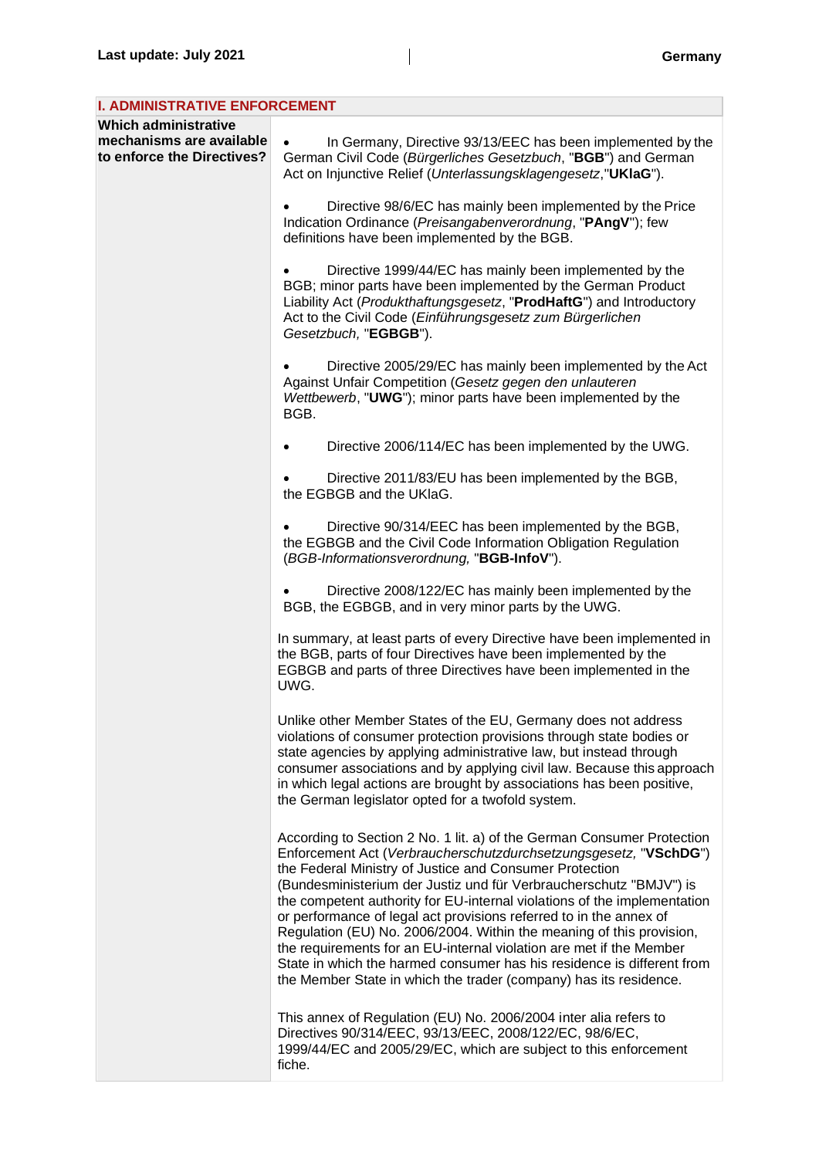| <b>I. ADMINISTRATIVE ENFORCEMENT</b>                                                  |                                                                                                                                                                                                                                                                                                                                                                                                                                                                                                                                                                                                                                                                                                                             |
|---------------------------------------------------------------------------------------|-----------------------------------------------------------------------------------------------------------------------------------------------------------------------------------------------------------------------------------------------------------------------------------------------------------------------------------------------------------------------------------------------------------------------------------------------------------------------------------------------------------------------------------------------------------------------------------------------------------------------------------------------------------------------------------------------------------------------------|
| <b>Which administrative</b><br>mechanisms are available<br>to enforce the Directives? | In Germany, Directive 93/13/EEC has been implemented by the<br>German Civil Code (Bürgerliches Gesetzbuch, "BGB") and German<br>Act on Injunctive Relief (Unterlassungsklagengesetz, "UKIaG").                                                                                                                                                                                                                                                                                                                                                                                                                                                                                                                              |
|                                                                                       | Directive 98/6/EC has mainly been implemented by the Price<br>Indication Ordinance (Preisangabenverordnung, "PAngV"); few<br>definitions have been implemented by the BGB.                                                                                                                                                                                                                                                                                                                                                                                                                                                                                                                                                  |
|                                                                                       | Directive 1999/44/EC has mainly been implemented by the<br>BGB; minor parts have been implemented by the German Product<br>Liability Act (Produkthaftungsgesetz, "ProdHaftG") and Introductory<br>Act to the Civil Code (Einführungsgesetz zum Bürgerlichen<br>Gesetzbuch, "EGBGB").                                                                                                                                                                                                                                                                                                                                                                                                                                        |
|                                                                                       | Directive 2005/29/EC has mainly been implemented by the Act<br>Against Unfair Competition (Gesetz gegen den unlauteren<br>Wettbewerb, "UWG"); minor parts have been implemented by the<br>BGB.                                                                                                                                                                                                                                                                                                                                                                                                                                                                                                                              |
|                                                                                       | Directive 2006/114/EC has been implemented by the UWG.                                                                                                                                                                                                                                                                                                                                                                                                                                                                                                                                                                                                                                                                      |
|                                                                                       | Directive 2011/83/EU has been implemented by the BGB,<br>the EGBGB and the UKlaG.                                                                                                                                                                                                                                                                                                                                                                                                                                                                                                                                                                                                                                           |
|                                                                                       | Directive 90/314/EEC has been implemented by the BGB,<br>the EGBGB and the Civil Code Information Obligation Regulation<br>(BGB-Informationsverordnung, "BGB-InfoV").                                                                                                                                                                                                                                                                                                                                                                                                                                                                                                                                                       |
|                                                                                       | Directive 2008/122/EC has mainly been implemented by the<br>BGB, the EGBGB, and in very minor parts by the UWG.                                                                                                                                                                                                                                                                                                                                                                                                                                                                                                                                                                                                             |
|                                                                                       | In summary, at least parts of every Directive have been implemented in<br>the BGB, parts of four Directives have been implemented by the<br>EGBGB and parts of three Directives have been implemented in the<br>UWG.                                                                                                                                                                                                                                                                                                                                                                                                                                                                                                        |
|                                                                                       | Unlike other Member States of the EU, Germany does not address<br>violations of consumer protection provisions through state bodies or<br>state agencies by applying administrative law, but instead through<br>consumer associations and by applying civil law. Because this approach<br>in which legal actions are brought by associations has been positive,<br>the German legislator opted for a twofold system.                                                                                                                                                                                                                                                                                                        |
|                                                                                       | According to Section 2 No. 1 lit. a) of the German Consumer Protection<br>Enforcement Act (Verbraucherschutzdurchsetzungsgesetz, "VSchDG")<br>the Federal Ministry of Justice and Consumer Protection<br>(Bundesministerium der Justiz und für Verbraucherschutz "BMJV") is<br>the competent authority for EU-internal violations of the implementation<br>or performance of legal act provisions referred to in the annex of<br>Regulation (EU) No. 2006/2004. Within the meaning of this provision,<br>the requirements for an EU-internal violation are met if the Member<br>State in which the harmed consumer has his residence is different from<br>the Member State in which the trader (company) has its residence. |
|                                                                                       | This annex of Regulation (EU) No. 2006/2004 inter alia refers to<br>Directives 90/314/EEC, 93/13/EEC, 2008/122/EC, 98/6/EC,<br>1999/44/EC and 2005/29/EC, which are subject to this enforcement<br>fiche.                                                                                                                                                                                                                                                                                                                                                                                                                                                                                                                   |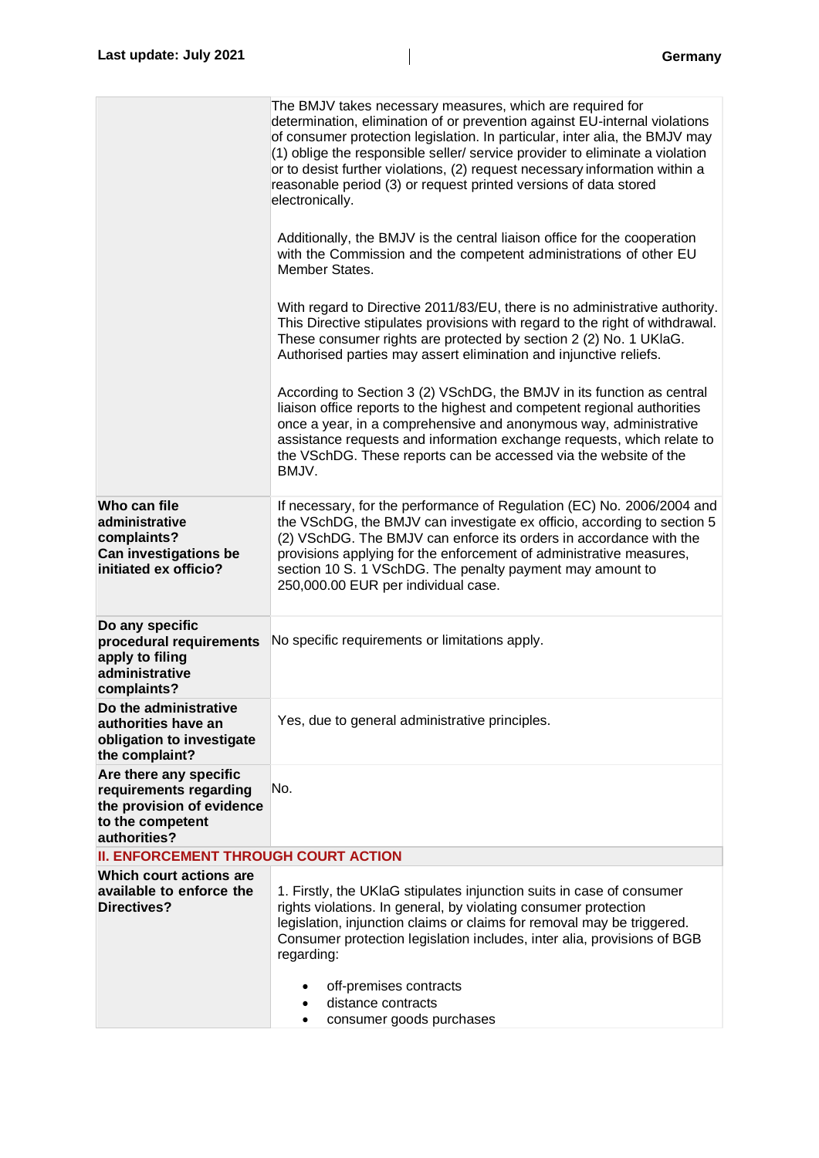|                                                                                                                   | The BMJV takes necessary measures, which are required for<br>determination, elimination of or prevention against EU-internal violations<br>of consumer protection legislation. In particular, inter alia, the BMJV may<br>(1) oblige the responsible seller/ service provider to eliminate a violation<br>or to desist further violations, (2) request necessary information within a<br>reasonable period (3) or request printed versions of data stored<br>electronically. |
|-------------------------------------------------------------------------------------------------------------------|------------------------------------------------------------------------------------------------------------------------------------------------------------------------------------------------------------------------------------------------------------------------------------------------------------------------------------------------------------------------------------------------------------------------------------------------------------------------------|
|                                                                                                                   | Additionally, the BMJV is the central liaison office for the cooperation<br>with the Commission and the competent administrations of other EU<br>Member States.                                                                                                                                                                                                                                                                                                              |
|                                                                                                                   | With regard to Directive 2011/83/EU, there is no administrative authority.<br>This Directive stipulates provisions with regard to the right of withdrawal.<br>These consumer rights are protected by section 2 (2) No. 1 UKIaG.<br>Authorised parties may assert elimination and injunctive reliefs.                                                                                                                                                                         |
|                                                                                                                   | According to Section 3 (2) VSchDG, the BMJV in its function as central<br>liaison office reports to the highest and competent regional authorities<br>once a year, in a comprehensive and anonymous way, administrative<br>assistance requests and information exchange requests, which relate to<br>the VSchDG. These reports can be accessed via the website of the<br>BMJV.                                                                                               |
| Who can file<br>administrative<br>complaints?<br>Can investigations be<br>initiated ex officio?                   | If necessary, for the performance of Regulation (EC) No. 2006/2004 and<br>the VSchDG, the BMJV can investigate ex officio, according to section 5<br>(2) VSchDG. The BMJV can enforce its orders in accordance with the<br>provisions applying for the enforcement of administrative measures,<br>section 10 S. 1 VSchDG. The penalty payment may amount to<br>250,000.00 EUR per individual case.                                                                           |
| Do any specific<br>procedural requirements<br>apply to filing<br>administrative<br>complaints?                    | No specific requirements or limitations apply.                                                                                                                                                                                                                                                                                                                                                                                                                               |
| Do the administrative<br>authorities have an<br>obligation to investigate<br>the complaint?                       | Yes, due to general administrative principles.                                                                                                                                                                                                                                                                                                                                                                                                                               |
| Are there any specific<br>requirements regarding<br>the provision of evidence<br>to the competent<br>authorities? | No.                                                                                                                                                                                                                                                                                                                                                                                                                                                                          |
| <b>II. ENFORCEMENT THROUGH COURT ACTION</b>                                                                       |                                                                                                                                                                                                                                                                                                                                                                                                                                                                              |
| Which court actions are<br>available to enforce the<br><b>Directives?</b>                                         | 1. Firstly, the UKIaG stipulates injunction suits in case of consumer<br>rights violations. In general, by violating consumer protection<br>legislation, injunction claims or claims for removal may be triggered.<br>Consumer protection legislation includes, inter alia, provisions of BGB<br>regarding:                                                                                                                                                                  |
|                                                                                                                   | off-premises contracts<br>distance contracts<br>$\bullet$<br>consumer goods purchases<br>٠                                                                                                                                                                                                                                                                                                                                                                                   |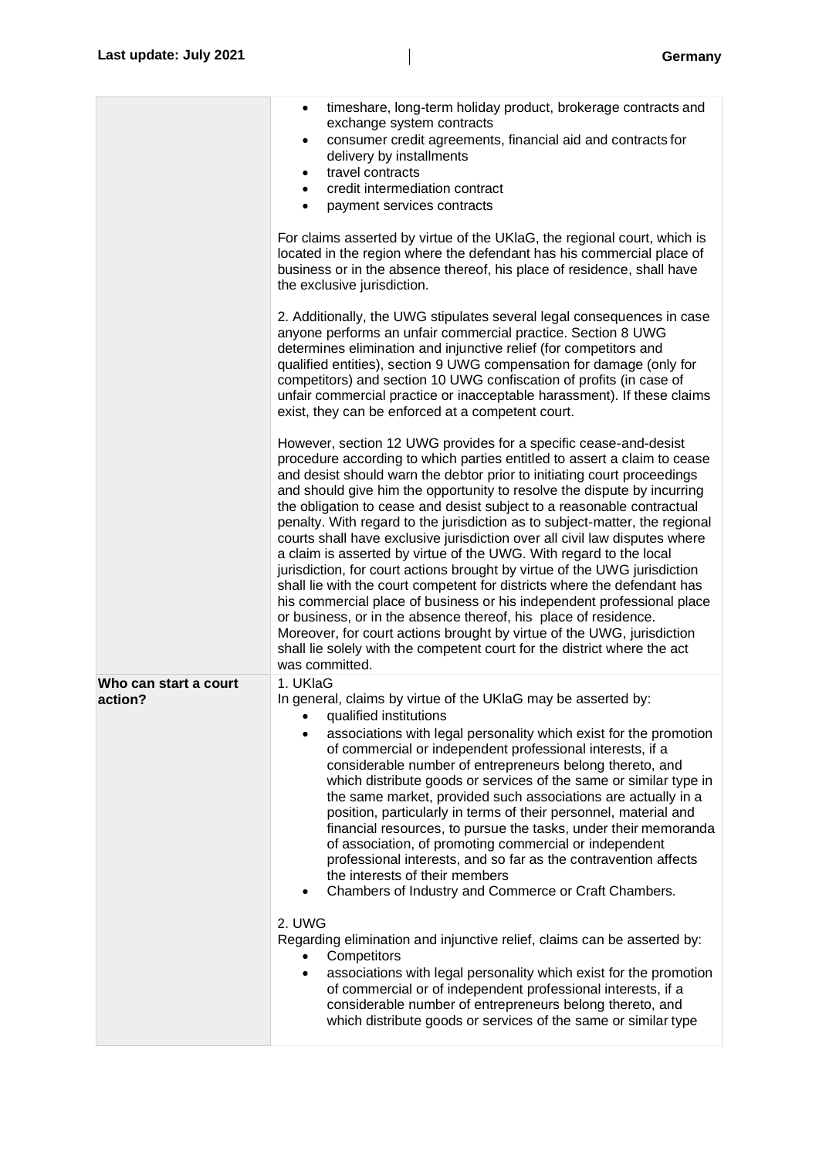|                                  | timeshare, long-term holiday product, brokerage contracts and<br>$\bullet$<br>exchange system contracts<br>consumer credit agreements, financial aid and contracts for<br>$\bullet$<br>delivery by installments<br>travel contracts<br>$\bullet$<br>credit intermediation contract<br>payment services contracts<br>For claims asserted by virtue of the UKIaG, the regional court, which is<br>located in the region where the defendant has his commercial place of<br>business or in the absence thereof, his place of residence, shall have<br>the exclusive jurisdiction.<br>2. Additionally, the UWG stipulates several legal consequences in case<br>anyone performs an unfair commercial practice. Section 8 UWG<br>determines elimination and injunctive relief (for competitors and<br>qualified entities), section 9 UWG compensation for damage (only for<br>competitors) and section 10 UWG confiscation of profits (in case of<br>unfair commercial practice or inacceptable harassment). If these claims<br>exist, they can be enforced at a competent court.<br>However, section 12 UWG provides for a specific cease-and-desist<br>procedure according to which parties entitled to assert a claim to cease<br>and desist should warn the debtor prior to initiating court proceedings<br>and should give him the opportunity to resolve the dispute by incurring<br>the obligation to cease and desist subject to a reasonable contractual<br>penalty. With regard to the jurisdiction as to subject-matter, the regional<br>courts shall have exclusive jurisdiction over all civil law disputes where<br>a claim is asserted by virtue of the UWG. With regard to the local<br>jurisdiction, for court actions brought by virtue of the UWG jurisdiction<br>shall lie with the court competent for districts where the defendant has<br>his commercial place of business or his independent professional place<br>or business, or in the absence thereof, his place of residence.<br>Moreover, for court actions brought by virtue of the UWG, jurisdiction<br>shall lie solely with the competent court for the district where the act<br>was committed. |
|----------------------------------|-------------------------------------------------------------------------------------------------------------------------------------------------------------------------------------------------------------------------------------------------------------------------------------------------------------------------------------------------------------------------------------------------------------------------------------------------------------------------------------------------------------------------------------------------------------------------------------------------------------------------------------------------------------------------------------------------------------------------------------------------------------------------------------------------------------------------------------------------------------------------------------------------------------------------------------------------------------------------------------------------------------------------------------------------------------------------------------------------------------------------------------------------------------------------------------------------------------------------------------------------------------------------------------------------------------------------------------------------------------------------------------------------------------------------------------------------------------------------------------------------------------------------------------------------------------------------------------------------------------------------------------------------------------------------------------------------------------------------------------------------------------------------------------------------------------------------------------------------------------------------------------------------------------------------------------------------------------------------------------------------------------------------------------------------------------------------------------------------------------------------------------------------------------------------------|
| Who can start a court<br>action? | 1. UKlaG<br>In general, claims by virtue of the UKIaG may be asserted by:<br>qualified institutions<br>associations with legal personality which exist for the promotion<br>of commercial or independent professional interests, if a<br>considerable number of entrepreneurs belong thereto, and<br>which distribute goods or services of the same or similar type in<br>the same market, provided such associations are actually in a<br>position, particularly in terms of their personnel, material and<br>financial resources, to pursue the tasks, under their memoranda<br>of association, of promoting commercial or independent<br>professional interests, and so far as the contravention affects<br>the interests of their members<br>Chambers of Industry and Commerce or Craft Chambers.<br>2. UWG<br>Regarding elimination and injunctive relief, claims can be asserted by:<br>Competitors<br>associations with legal personality which exist for the promotion<br>$\bullet$<br>of commercial or of independent professional interests, if a<br>considerable number of entrepreneurs belong thereto, and<br>which distribute goods or services of the same or similar type                                                                                                                                                                                                                                                                                                                                                                                                                                                                                                                                                                                                                                                                                                                                                                                                                                                                                                                                                                                     |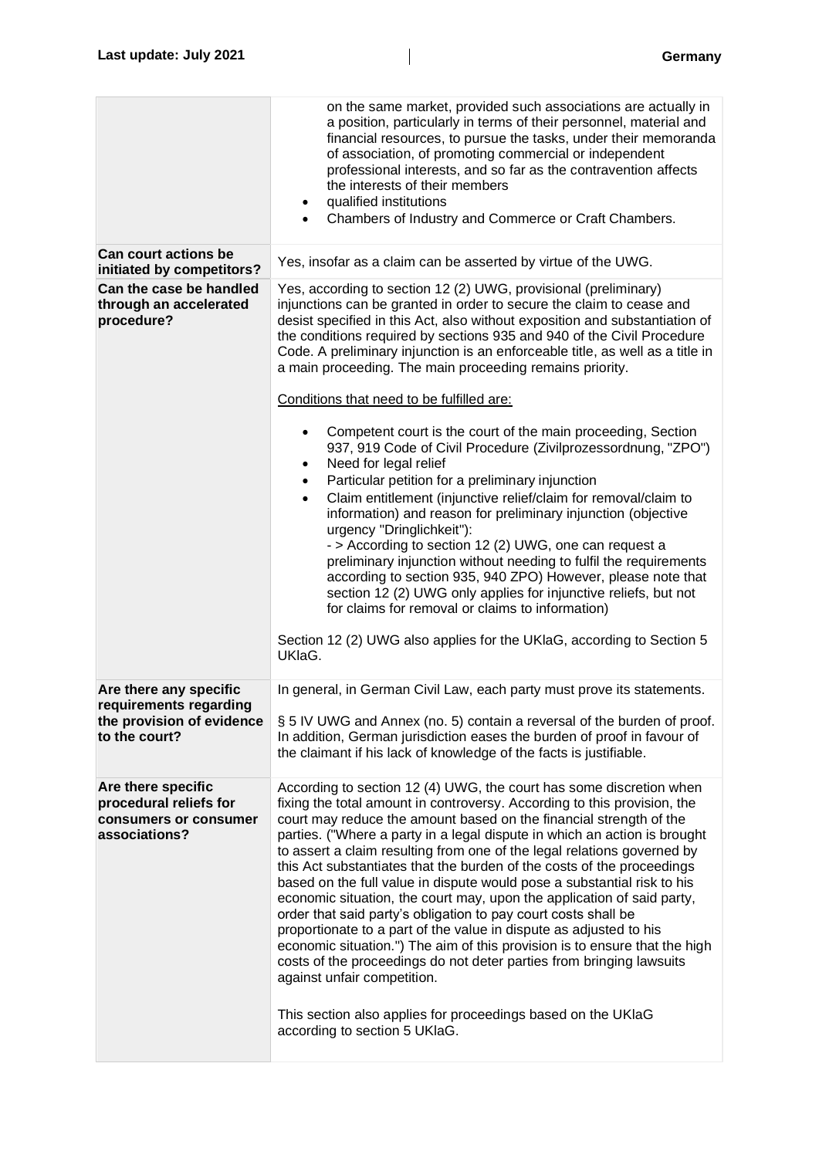|                                                                                                | on the same market, provided such associations are actually in<br>a position, particularly in terms of their personnel, material and<br>financial resources, to pursue the tasks, under their memoranda<br>of association, of promoting commercial or independent<br>professional interests, and so far as the contravention affects<br>the interests of their members<br>qualified institutions<br>٠<br>Chambers of Industry and Commerce or Craft Chambers.<br>$\bullet$                                                                                                                                                                                                                                                                                                                                                                                                                                                                                                                                                                 |
|------------------------------------------------------------------------------------------------|--------------------------------------------------------------------------------------------------------------------------------------------------------------------------------------------------------------------------------------------------------------------------------------------------------------------------------------------------------------------------------------------------------------------------------------------------------------------------------------------------------------------------------------------------------------------------------------------------------------------------------------------------------------------------------------------------------------------------------------------------------------------------------------------------------------------------------------------------------------------------------------------------------------------------------------------------------------------------------------------------------------------------------------------|
| <b>Can court actions be</b><br>initiated by competitors?                                       | Yes, insofar as a claim can be asserted by virtue of the UWG.                                                                                                                                                                                                                                                                                                                                                                                                                                                                                                                                                                                                                                                                                                                                                                                                                                                                                                                                                                              |
| Can the case be handled<br>through an accelerated<br>procedure?                                | Yes, according to section 12 (2) UWG, provisional (preliminary)<br>injunctions can be granted in order to secure the claim to cease and<br>desist specified in this Act, also without exposition and substantiation of<br>the conditions required by sections 935 and 940 of the Civil Procedure<br>Code. A preliminary injunction is an enforceable title, as well as a title in<br>a main proceeding. The main proceeding remains priority.<br>Conditions that need to be fulfilled are:                                                                                                                                                                                                                                                                                                                                                                                                                                                                                                                                                 |
|                                                                                                | Competent court is the court of the main proceeding, Section<br>937, 919 Code of Civil Procedure (Zivilprozessordnung, "ZPO")<br>Need for legal relief<br>٠<br>Particular petition for a preliminary injunction<br>$\bullet$<br>Claim entitlement (injunctive relief/claim for removal/claim to<br>$\bullet$<br>information) and reason for preliminary injunction (objective<br>urgency "Dringlichkeit"):<br>- > According to section 12 (2) UWG, one can request a<br>preliminary injunction without needing to fulfil the requirements<br>according to section 935, 940 ZPO) However, please note that<br>section 12 (2) UWG only applies for injunctive reliefs, but not<br>for claims for removal or claims to information)<br>Section 12 (2) UWG also applies for the UKIaG, according to Section 5<br>UKIaG.                                                                                                                                                                                                                        |
| Are there any specific<br>requirements regarding<br>the provision of evidence<br>to the court? | In general, in German Civil Law, each party must prove its statements.<br>§ 5 IV UWG and Annex (no. 5) contain a reversal of the burden of proof.<br>In addition, German jurisdiction eases the burden of proof in favour of<br>the claimant if his lack of knowledge of the facts is justifiable.                                                                                                                                                                                                                                                                                                                                                                                                                                                                                                                                                                                                                                                                                                                                         |
| Are there specific<br>procedural reliefs for<br>consumers or consumer<br>associations?         | According to section 12 (4) UWG, the court has some discretion when<br>fixing the total amount in controversy. According to this provision, the<br>court may reduce the amount based on the financial strength of the<br>parties. ("Where a party in a legal dispute in which an action is brought<br>to assert a claim resulting from one of the legal relations governed by<br>this Act substantiates that the burden of the costs of the proceedings<br>based on the full value in dispute would pose a substantial risk to his<br>economic situation, the court may, upon the application of said party,<br>order that said party's obligation to pay court costs shall be<br>proportionate to a part of the value in dispute as adjusted to his<br>economic situation.") The aim of this provision is to ensure that the high<br>costs of the proceedings do not deter parties from bringing lawsuits<br>against unfair competition.<br>This section also applies for proceedings based on the UKIaG<br>according to section 5 UKIaG. |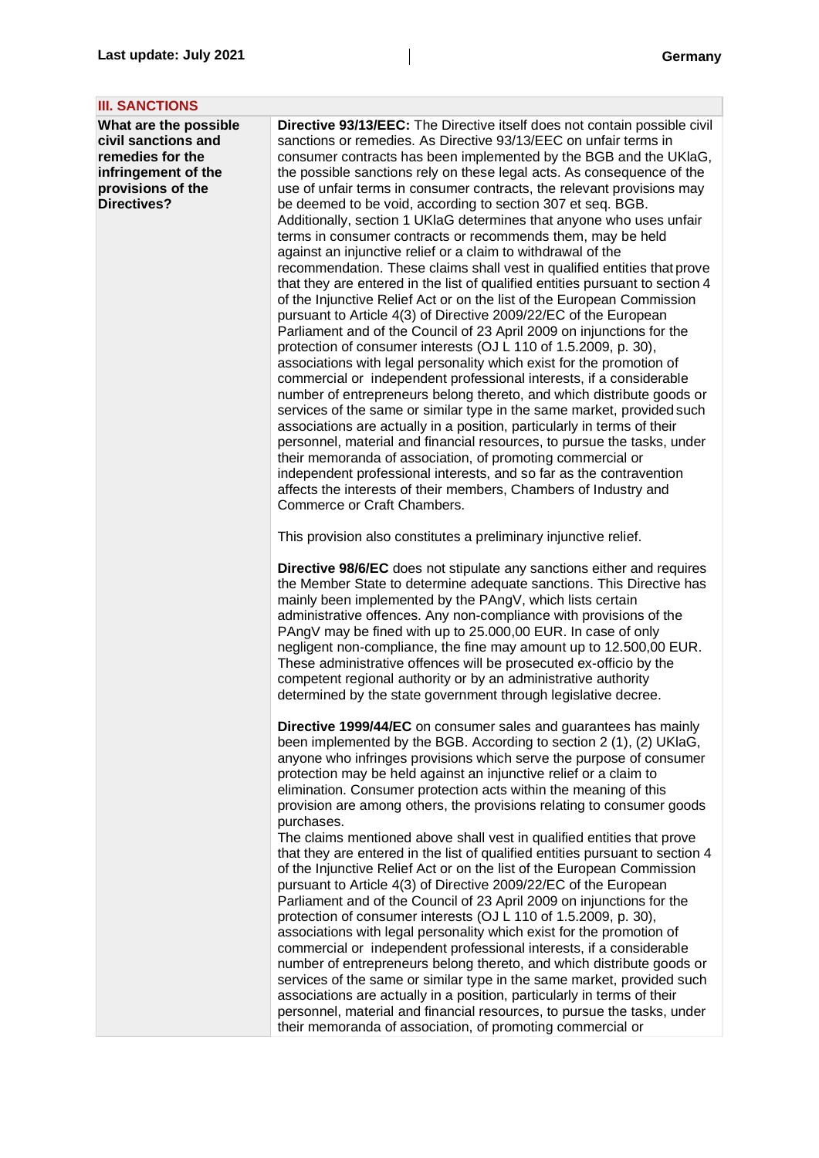| <b>III. SANCTIONS</b>                                                                                                              |                                                                                                                                                                                                                                                                                                                                                                                                                                                                                                                                                                                                                                                                                                                                                                                                                                                                                                                                                                                                                                                                                                                                                                                                                                                                                                                                                                                                                                                                                                                                                                                                                                                                                                                                                                                                     |
|------------------------------------------------------------------------------------------------------------------------------------|-----------------------------------------------------------------------------------------------------------------------------------------------------------------------------------------------------------------------------------------------------------------------------------------------------------------------------------------------------------------------------------------------------------------------------------------------------------------------------------------------------------------------------------------------------------------------------------------------------------------------------------------------------------------------------------------------------------------------------------------------------------------------------------------------------------------------------------------------------------------------------------------------------------------------------------------------------------------------------------------------------------------------------------------------------------------------------------------------------------------------------------------------------------------------------------------------------------------------------------------------------------------------------------------------------------------------------------------------------------------------------------------------------------------------------------------------------------------------------------------------------------------------------------------------------------------------------------------------------------------------------------------------------------------------------------------------------------------------------------------------------------------------------------------------------|
| What are the possible<br>civil sanctions and<br>remedies for the<br>infringement of the<br>provisions of the<br><b>Directives?</b> | Directive 93/13/EEC: The Directive itself does not contain possible civil<br>sanctions or remedies. As Directive 93/13/EEC on unfair terms in<br>consumer contracts has been implemented by the BGB and the UKIaG,<br>the possible sanctions rely on these legal acts. As consequence of the<br>use of unfair terms in consumer contracts, the relevant provisions may<br>be deemed to be void, according to section 307 et seq. BGB.<br>Additionally, section 1 UKIaG determines that anyone who uses unfair<br>terms in consumer contracts or recommends them, may be held<br>against an injunctive relief or a claim to withdrawal of the<br>recommendation. These claims shall vest in qualified entities that prove<br>that they are entered in the list of qualified entities pursuant to section 4<br>of the Injunctive Relief Act or on the list of the European Commission<br>pursuant to Article 4(3) of Directive 2009/22/EC of the European<br>Parliament and of the Council of 23 April 2009 on injunctions for the<br>protection of consumer interests (OJ L 110 of 1.5.2009, p. 30),<br>associations with legal personality which exist for the promotion of<br>commercial or independent professional interests, if a considerable<br>number of entrepreneurs belong thereto, and which distribute goods or<br>services of the same or similar type in the same market, provided such<br>associations are actually in a position, particularly in terms of their<br>personnel, material and financial resources, to pursue the tasks, under<br>their memoranda of association, of promoting commercial or<br>independent professional interests, and so far as the contravention<br>affects the interests of their members, Chambers of Industry and<br>Commerce or Craft Chambers. |
|                                                                                                                                    | This provision also constitutes a preliminary injunctive relief.                                                                                                                                                                                                                                                                                                                                                                                                                                                                                                                                                                                                                                                                                                                                                                                                                                                                                                                                                                                                                                                                                                                                                                                                                                                                                                                                                                                                                                                                                                                                                                                                                                                                                                                                    |
|                                                                                                                                    | Directive 98/6/EC does not stipulate any sanctions either and requires<br>the Member State to determine adequate sanctions. This Directive has<br>mainly been implemented by the PAngV, which lists certain<br>administrative offences. Any non-compliance with provisions of the<br>PAngV may be fined with up to 25.000,00 EUR. In case of only<br>negligent non-compliance, the fine may amount up to 12.500,00 EUR.<br>These administrative offences will be prosecuted ex-officio by the<br>competent regional authority or by an administrative authority<br>determined by the state government through legislative decree.                                                                                                                                                                                                                                                                                                                                                                                                                                                                                                                                                                                                                                                                                                                                                                                                                                                                                                                                                                                                                                                                                                                                                                   |
|                                                                                                                                    | Directive 1999/44/EC on consumer sales and guarantees has mainly<br>been implemented by the BGB. According to section 2 (1), (2) UKIaG,<br>anyone who infringes provisions which serve the purpose of consumer<br>protection may be held against an injunctive relief or a claim to<br>elimination. Consumer protection acts within the meaning of this<br>provision are among others, the provisions relating to consumer goods<br>purchases.<br>The claims mentioned above shall vest in qualified entities that prove<br>that they are entered in the list of qualified entities pursuant to section 4<br>of the Injunctive Relief Act or on the list of the European Commission<br>pursuant to Article 4(3) of Directive 2009/22/EC of the European<br>Parliament and of the Council of 23 April 2009 on injunctions for the<br>protection of consumer interests (OJ L 110 of 1.5.2009, p. 30),<br>associations with legal personality which exist for the promotion of<br>commercial or independent professional interests, if a considerable<br>number of entrepreneurs belong thereto, and which distribute goods or<br>services of the same or similar type in the same market, provided such<br>associations are actually in a position, particularly in terms of their<br>personnel, material and financial resources, to pursue the tasks, under<br>their memoranda of association, of promoting commercial or                                                                                                                                                                                                                                                                                                                                                                           |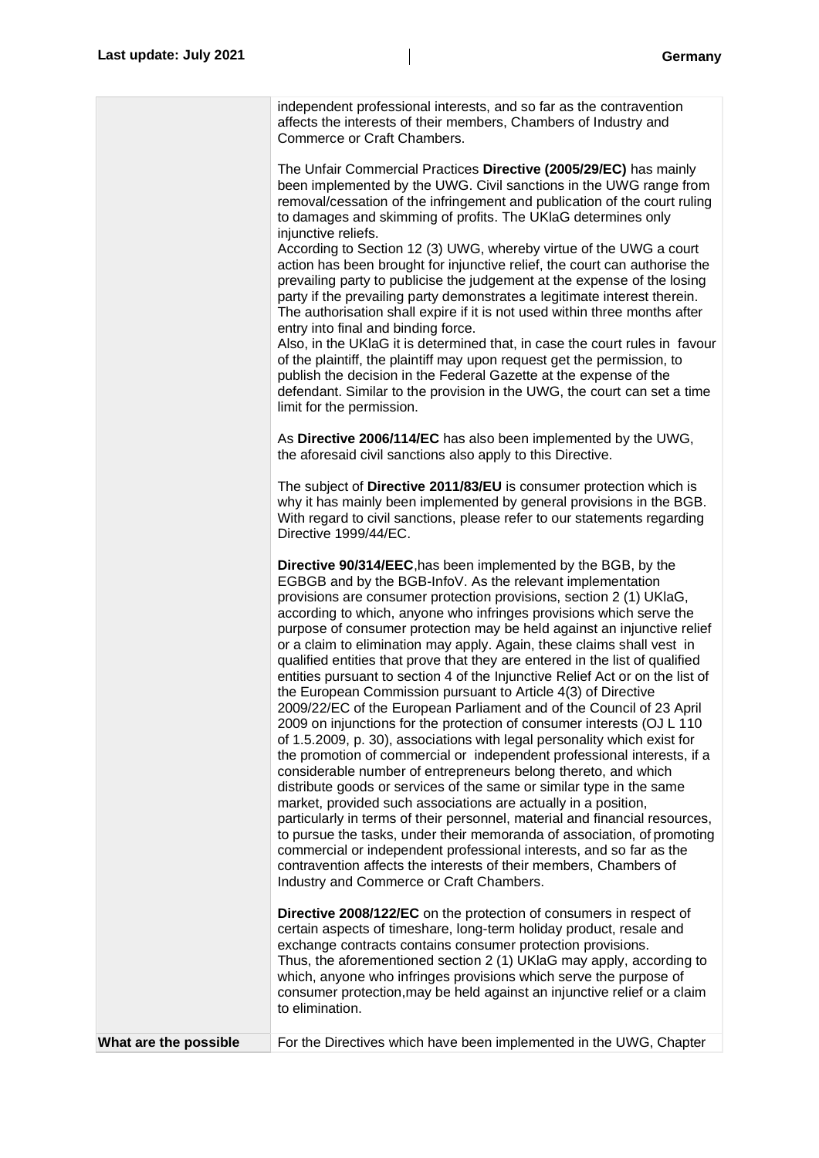|                       | independent professional interests, and so far as the contravention<br>affects the interests of their members, Chambers of Industry and<br>Commerce or Craft Chambers.                                                                                                                                                                                                                                                                                                                                                                                                                                                                                                                                                                                                                                                                                                                                                                                                                                                                                                                                                                                                                                                                                                                                                                                                                                                                                                                                                                  |
|-----------------------|-----------------------------------------------------------------------------------------------------------------------------------------------------------------------------------------------------------------------------------------------------------------------------------------------------------------------------------------------------------------------------------------------------------------------------------------------------------------------------------------------------------------------------------------------------------------------------------------------------------------------------------------------------------------------------------------------------------------------------------------------------------------------------------------------------------------------------------------------------------------------------------------------------------------------------------------------------------------------------------------------------------------------------------------------------------------------------------------------------------------------------------------------------------------------------------------------------------------------------------------------------------------------------------------------------------------------------------------------------------------------------------------------------------------------------------------------------------------------------------------------------------------------------------------|
|                       | The Unfair Commercial Practices Directive (2005/29/EC) has mainly<br>been implemented by the UWG. Civil sanctions in the UWG range from<br>removal/cessation of the infringement and publication of the court ruling<br>to damages and skimming of profits. The UKIaG determines only<br>injunctive reliefs.<br>According to Section 12 (3) UWG, whereby virtue of the UWG a court<br>action has been brought for injunctive relief, the court can authorise the<br>prevailing party to publicise the judgement at the expense of the losing<br>party if the prevailing party demonstrates a legitimate interest therein.<br>The authorisation shall expire if it is not used within three months after<br>entry into final and binding force.<br>Also, in the UKIaG it is determined that, in case the court rules in favour<br>of the plaintiff, the plaintiff may upon request get the permission, to<br>publish the decision in the Federal Gazette at the expense of the<br>defendant. Similar to the provision in the UWG, the court can set a time<br>limit for the permission.                                                                                                                                                                                                                                                                                                                                                                                                                                                  |
|                       | As Directive 2006/114/EC has also been implemented by the UWG,<br>the aforesaid civil sanctions also apply to this Directive.                                                                                                                                                                                                                                                                                                                                                                                                                                                                                                                                                                                                                                                                                                                                                                                                                                                                                                                                                                                                                                                                                                                                                                                                                                                                                                                                                                                                           |
|                       | The subject of Directive 2011/83/EU is consumer protection which is<br>why it has mainly been implemented by general provisions in the BGB.<br>With regard to civil sanctions, please refer to our statements regarding<br>Directive 1999/44/EC.                                                                                                                                                                                                                                                                                                                                                                                                                                                                                                                                                                                                                                                                                                                                                                                                                                                                                                                                                                                                                                                                                                                                                                                                                                                                                        |
|                       | Directive 90/314/EEC, has been implemented by the BGB, by the<br>EGBGB and by the BGB-InfoV. As the relevant implementation<br>provisions are consumer protection provisions, section 2 (1) UKIaG,<br>according to which, anyone who infringes provisions which serve the<br>purpose of consumer protection may be held against an injunctive relief<br>or a claim to elimination may apply. Again, these claims shall vest in<br>qualified entities that prove that they are entered in the list of qualified<br>entities pursuant to section 4 of the Injunctive Relief Act or on the list of<br>the European Commission pursuant to Article 4(3) of Directive<br>2009/22/EC of the European Parliament and of the Council of 23 April<br>2009 on injunctions for the protection of consumer interests (OJ L 110<br>of 1.5.2009, p. 30), associations with legal personality which exist for<br>the promotion of commercial or independent professional interests, if a<br>considerable number of entrepreneurs belong thereto, and which<br>distribute goods or services of the same or similar type in the same<br>market, provided such associations are actually in a position,<br>particularly in terms of their personnel, material and financial resources,<br>to pursue the tasks, under their memoranda of association, of promoting<br>commercial or independent professional interests, and so far as the<br>contravention affects the interests of their members, Chambers of<br>Industry and Commerce or Craft Chambers. |
|                       | <b>Directive 2008/122/EC</b> on the protection of consumers in respect of<br>certain aspects of timeshare, long-term holiday product, resale and<br>exchange contracts contains consumer protection provisions.<br>Thus, the aforementioned section 2 (1) UKIaG may apply, according to<br>which, anyone who infringes provisions which serve the purpose of<br>consumer protection, may be held against an injunctive relief or a claim<br>to elimination.                                                                                                                                                                                                                                                                                                                                                                                                                                                                                                                                                                                                                                                                                                                                                                                                                                                                                                                                                                                                                                                                             |
| What are the possible | For the Directives which have been implemented in the UWG, Chapter                                                                                                                                                                                                                                                                                                                                                                                                                                                                                                                                                                                                                                                                                                                                                                                                                                                                                                                                                                                                                                                                                                                                                                                                                                                                                                                                                                                                                                                                      |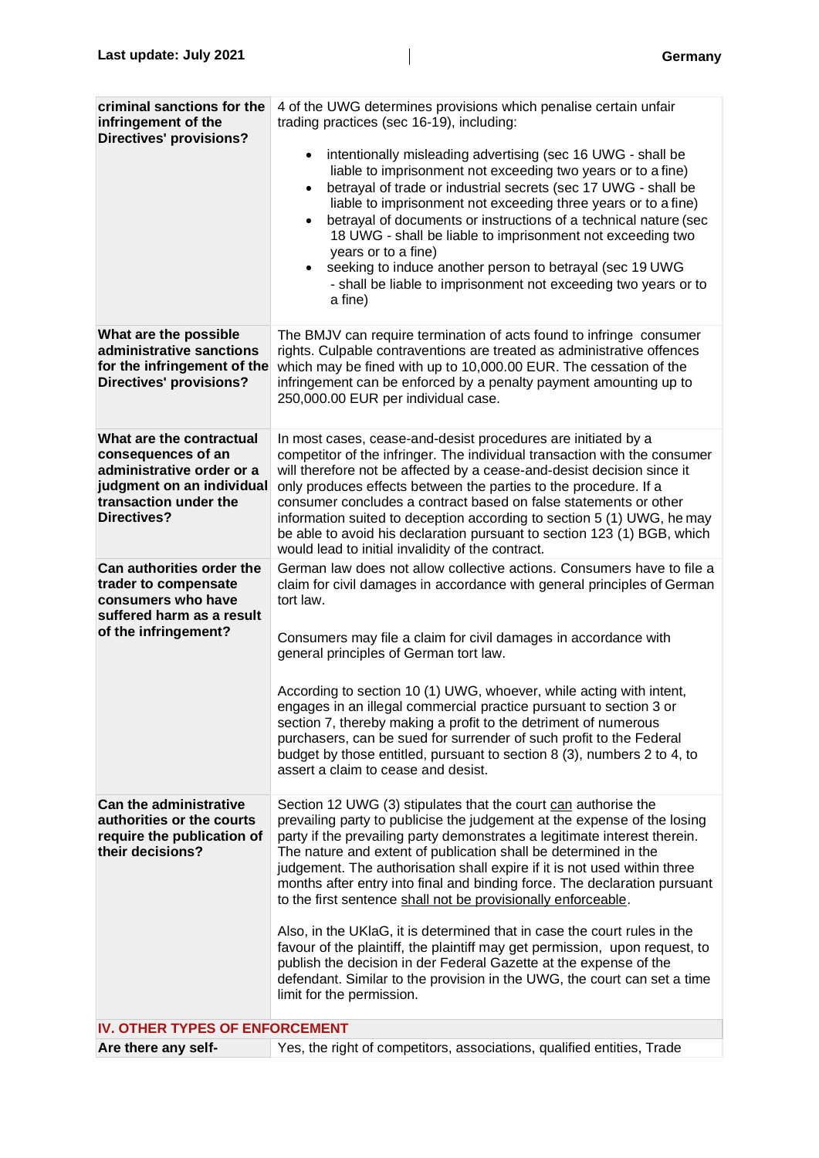| criminal sanctions for the<br>infringement of the<br><b>Directives' provisions?</b>                                                                     | 4 of the UWG determines provisions which penalise certain unfair<br>trading practices (sec 16-19), including:<br>intentionally misleading advertising (sec 16 UWG - shall be<br>$\bullet$<br>liable to imprisonment not exceeding two years or to a fine)<br>betrayal of trade or industrial secrets (sec 17 UWG - shall be<br>$\bullet$<br>liable to imprisonment not exceeding three years or to a fine)<br>betrayal of documents or instructions of a technical nature (sec<br>$\bullet$<br>18 UWG - shall be liable to imprisonment not exceeding two<br>years or to a fine)<br>seeking to induce another person to betrayal (sec 19 UWG<br>- shall be liable to imprisonment not exceeding two years or to<br>a fine)                                                                                                                                    |
|---------------------------------------------------------------------------------------------------------------------------------------------------------|---------------------------------------------------------------------------------------------------------------------------------------------------------------------------------------------------------------------------------------------------------------------------------------------------------------------------------------------------------------------------------------------------------------------------------------------------------------------------------------------------------------------------------------------------------------------------------------------------------------------------------------------------------------------------------------------------------------------------------------------------------------------------------------------------------------------------------------------------------------|
| What are the possible<br>administrative sanctions<br>for the infringement of the<br><b>Directives' provisions?</b>                                      | The BMJV can require termination of acts found to infringe consumer<br>rights. Culpable contraventions are treated as administrative offences<br>which may be fined with up to 10,000.00 EUR. The cessation of the<br>infringement can be enforced by a penalty payment amounting up to<br>250,000.00 EUR per individual case.                                                                                                                                                                                                                                                                                                                                                                                                                                                                                                                                |
| What are the contractual<br>consequences of an<br>administrative order or a<br>judgment on an individual<br>transaction under the<br><b>Directives?</b> | In most cases, cease-and-desist procedures are initiated by a<br>competitor of the infringer. The individual transaction with the consumer<br>will therefore not be affected by a cease-and-desist decision since it<br>only produces effects between the parties to the procedure. If a<br>consumer concludes a contract based on false statements or other<br>information suited to deception according to section 5 (1) UWG, he may<br>be able to avoid his declaration pursuant to section 123 (1) BGB, which<br>would lead to initial invalidity of the contract.                                                                                                                                                                                                                                                                                        |
| Can authorities order the<br>trader to compensate<br>consumers who have<br>suffered harm as a result<br>of the infringement?                            | German law does not allow collective actions. Consumers have to file a<br>claim for civil damages in accordance with general principles of German<br>tort law.<br>Consumers may file a claim for civil damages in accordance with<br>general principles of German tort law.<br>According to section 10 (1) UWG, whoever, while acting with intent,<br>engages in an illegal commercial practice pursuant to section 3 or<br>section 7, thereby making a profit to the detriment of numerous<br>purchasers, can be sued for surrender of such profit to the Federal<br>budget by those entitled, pursuant to section 8 (3), numbers 2 to 4, to<br>assert a claim to cease and desist.                                                                                                                                                                          |
| <b>Can the administrative</b><br>authorities or the courts<br>require the publication of<br>their decisions?                                            | Section 12 UWG (3) stipulates that the court can authorise the<br>prevailing party to publicise the judgement at the expense of the losing<br>party if the prevailing party demonstrates a legitimate interest therein.<br>The nature and extent of publication shall be determined in the<br>judgement. The authorisation shall expire if it is not used within three<br>months after entry into final and binding force. The declaration pursuant<br>to the first sentence shall not be provisionally enforceable.<br>Also, in the UKIaG, it is determined that in case the court rules in the<br>favour of the plaintiff, the plaintiff may get permission, upon request, to<br>publish the decision in der Federal Gazette at the expense of the<br>defendant. Similar to the provision in the UWG, the court can set a time<br>limit for the permission. |
| IV. OTHER TYPES OF ENFORCEMENT                                                                                                                          |                                                                                                                                                                                                                                                                                                                                                                                                                                                                                                                                                                                                                                                                                                                                                                                                                                                               |
| Are there any self-                                                                                                                                     | Yes, the right of competitors, associations, qualified entities, Trade                                                                                                                                                                                                                                                                                                                                                                                                                                                                                                                                                                                                                                                                                                                                                                                        |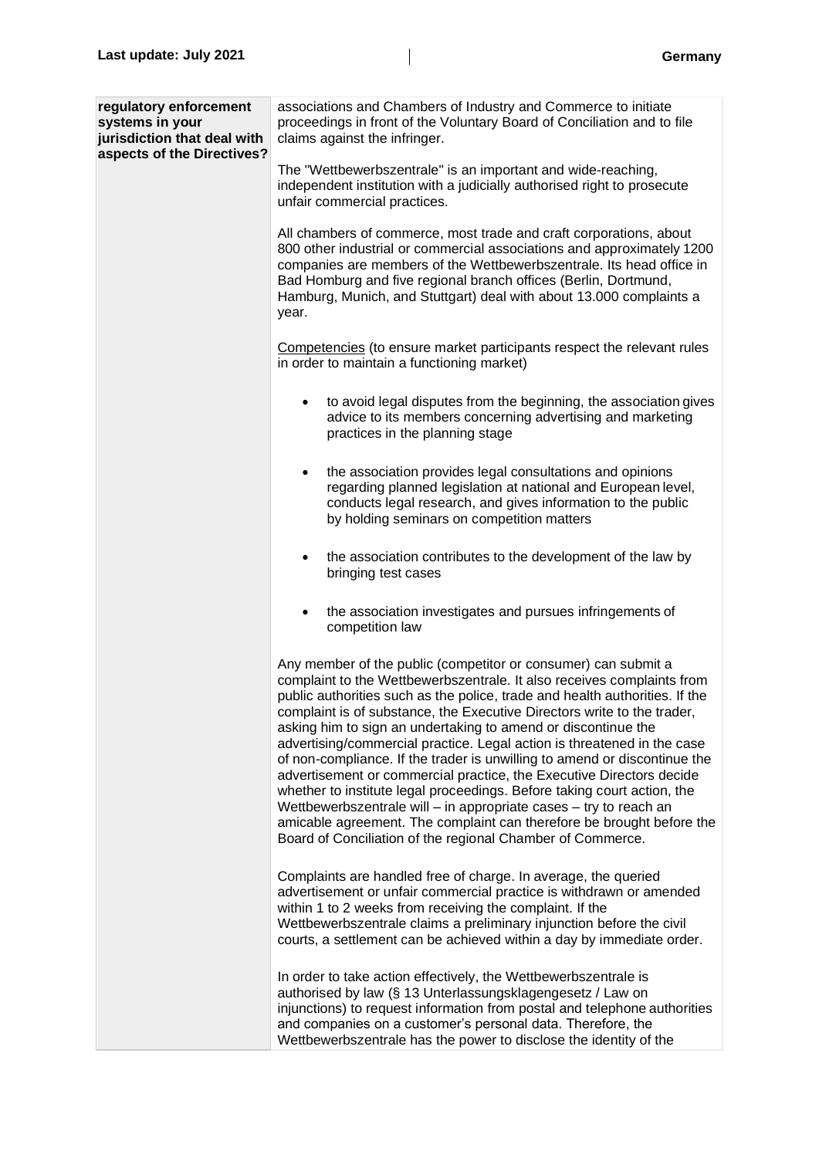| regulatory enforcement<br>systems in your<br>jurisdiction that deal with<br>aspects of the Directives? | associations and Chambers of Industry and Commerce to initiate<br>proceedings in front of the Voluntary Board of Conciliation and to file<br>claims against the infringer.                                                                                                                                                                                                                                                                                                                                                                                                                                                                                                                                                                                                                                                                                                                 |
|--------------------------------------------------------------------------------------------------------|--------------------------------------------------------------------------------------------------------------------------------------------------------------------------------------------------------------------------------------------------------------------------------------------------------------------------------------------------------------------------------------------------------------------------------------------------------------------------------------------------------------------------------------------------------------------------------------------------------------------------------------------------------------------------------------------------------------------------------------------------------------------------------------------------------------------------------------------------------------------------------------------|
|                                                                                                        | The "Wettbewerbszentrale" is an important and wide-reaching,<br>independent institution with a judicially authorised right to prosecute<br>unfair commercial practices.                                                                                                                                                                                                                                                                                                                                                                                                                                                                                                                                                                                                                                                                                                                    |
|                                                                                                        | All chambers of commerce, most trade and craft corporations, about<br>800 other industrial or commercial associations and approximately 1200<br>companies are members of the Wettbewerbszentrale. Its head office in<br>Bad Homburg and five regional branch offices (Berlin, Dortmund,<br>Hamburg, Munich, and Stuttgart) deal with about 13.000 complaints a<br>year.                                                                                                                                                                                                                                                                                                                                                                                                                                                                                                                    |
|                                                                                                        | Competencies (to ensure market participants respect the relevant rules<br>in order to maintain a functioning market)                                                                                                                                                                                                                                                                                                                                                                                                                                                                                                                                                                                                                                                                                                                                                                       |
|                                                                                                        | to avoid legal disputes from the beginning, the association gives<br>advice to its members concerning advertising and marketing<br>practices in the planning stage                                                                                                                                                                                                                                                                                                                                                                                                                                                                                                                                                                                                                                                                                                                         |
|                                                                                                        | the association provides legal consultations and opinions<br>٠<br>regarding planned legislation at national and European level,<br>conducts legal research, and gives information to the public<br>by holding seminars on competition matters                                                                                                                                                                                                                                                                                                                                                                                                                                                                                                                                                                                                                                              |
|                                                                                                        | the association contributes to the development of the law by<br>$\bullet$<br>bringing test cases                                                                                                                                                                                                                                                                                                                                                                                                                                                                                                                                                                                                                                                                                                                                                                                           |
|                                                                                                        | the association investigates and pursues infringements of<br>٠<br>competition law                                                                                                                                                                                                                                                                                                                                                                                                                                                                                                                                                                                                                                                                                                                                                                                                          |
|                                                                                                        | Any member of the public (competitor or consumer) can submit a<br>complaint to the Wettbewerbszentrale. It also receives complaints from<br>public authorities such as the police, trade and health authorities. If the<br>complaint is of substance, the Executive Directors write to the trader.<br>asking him to sign an undertaking to amend or discontinue the<br>advertising/commercial practice. Legal action is threatened in the case<br>of non-compliance. If the trader is unwilling to amend or discontinue the<br>advertisement or commercial practice, the Executive Directors decide<br>whether to institute legal proceedings. Before taking court action, the<br>Wettbewerbszentrale will - in appropriate cases - try to reach an<br>amicable agreement. The complaint can therefore be brought before the<br>Board of Conciliation of the regional Chamber of Commerce. |
|                                                                                                        | Complaints are handled free of charge. In average, the queried<br>advertisement or unfair commercial practice is withdrawn or amended<br>within 1 to 2 weeks from receiving the complaint. If the<br>Wettbewerbszentrale claims a preliminary injunction before the civil<br>courts, a settlement can be achieved within a day by immediate order.                                                                                                                                                                                                                                                                                                                                                                                                                                                                                                                                         |
|                                                                                                        | In order to take action effectively, the Wettbewerbszentrale is<br>authorised by law (§ 13 Unterlassungsklagengesetz / Law on<br>injunctions) to request information from postal and telephone authorities<br>and companies on a customer's personal data. Therefore, the<br>Wettbewerbszentrale has the power to disclose the identity of the                                                                                                                                                                                                                                                                                                                                                                                                                                                                                                                                             |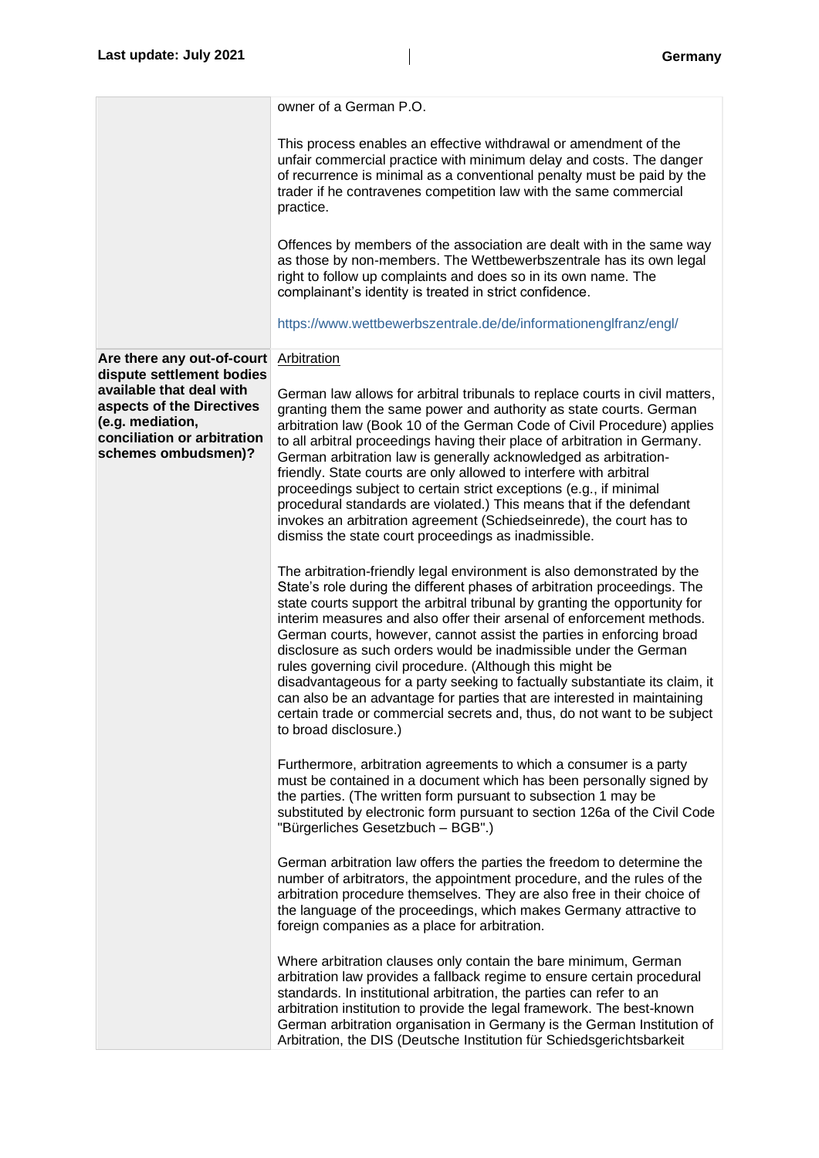|                                                                                                                                 | owner of a German P.O.                                                                                                                                                                                                                                                                                                                                                                                                                                                                                                                                                                                                                                                                                                                                                           |
|---------------------------------------------------------------------------------------------------------------------------------|----------------------------------------------------------------------------------------------------------------------------------------------------------------------------------------------------------------------------------------------------------------------------------------------------------------------------------------------------------------------------------------------------------------------------------------------------------------------------------------------------------------------------------------------------------------------------------------------------------------------------------------------------------------------------------------------------------------------------------------------------------------------------------|
|                                                                                                                                 |                                                                                                                                                                                                                                                                                                                                                                                                                                                                                                                                                                                                                                                                                                                                                                                  |
|                                                                                                                                 | This process enables an effective withdrawal or amendment of the<br>unfair commercial practice with minimum delay and costs. The danger<br>of recurrence is minimal as a conventional penalty must be paid by the<br>trader if he contravenes competition law with the same commercial<br>practice.                                                                                                                                                                                                                                                                                                                                                                                                                                                                              |
|                                                                                                                                 | Offences by members of the association are dealt with in the same way<br>as those by non-members. The Wettbewerbszentrale has its own legal<br>right to follow up complaints and does so in its own name. The<br>complainant's identity is treated in strict confidence.                                                                                                                                                                                                                                                                                                                                                                                                                                                                                                         |
|                                                                                                                                 | https://www.wettbewerbszentrale.de/de/informationenglfranz/engl/                                                                                                                                                                                                                                                                                                                                                                                                                                                                                                                                                                                                                                                                                                                 |
| Are there any out-of-court<br>dispute settlement bodies                                                                         | <b>Arbitration</b>                                                                                                                                                                                                                                                                                                                                                                                                                                                                                                                                                                                                                                                                                                                                                               |
| available that deal with<br>aspects of the Directives<br>(e.g. mediation,<br>conciliation or arbitration<br>schemes ombudsmen)? | German law allows for arbitral tribunals to replace courts in civil matters,<br>granting them the same power and authority as state courts. German<br>arbitration law (Book 10 of the German Code of Civil Procedure) applies<br>to all arbitral proceedings having their place of arbitration in Germany.<br>German arbitration law is generally acknowledged as arbitration-<br>friendly. State courts are only allowed to interfere with arbitral<br>proceedings subject to certain strict exceptions (e.g., if minimal<br>procedural standards are violated.) This means that if the defendant<br>invokes an arbitration agreement (Schiedseinrede), the court has to<br>dismiss the state court proceedings as inadmissible.                                                |
|                                                                                                                                 | The arbitration-friendly legal environment is also demonstrated by the<br>State's role during the different phases of arbitration proceedings. The<br>state courts support the arbitral tribunal by granting the opportunity for<br>interim measures and also offer their arsenal of enforcement methods.<br>German courts, however, cannot assist the parties in enforcing broad<br>disclosure as such orders would be inadmissible under the German<br>rules governing civil procedure. (Although this might be<br>disadvantageous for a party seeking to factually substantiate its claim, it<br>can also be an advantage for parties that are interested in maintaining<br>certain trade or commercial secrets and, thus, do not want to be subject<br>to broad disclosure.) |
|                                                                                                                                 | Furthermore, arbitration agreements to which a consumer is a party<br>must be contained in a document which has been personally signed by<br>the parties. (The written form pursuant to subsection 1 may be<br>substituted by electronic form pursuant to section 126a of the Civil Code<br>"Bürgerliches Gesetzbuch - BGB".)                                                                                                                                                                                                                                                                                                                                                                                                                                                    |
|                                                                                                                                 | German arbitration law offers the parties the freedom to determine the<br>number of arbitrators, the appointment procedure, and the rules of the<br>arbitration procedure themselves. They are also free in their choice of<br>the language of the proceedings, which makes Germany attractive to<br>foreign companies as a place for arbitration.                                                                                                                                                                                                                                                                                                                                                                                                                               |
|                                                                                                                                 | Where arbitration clauses only contain the bare minimum, German<br>arbitration law provides a fallback regime to ensure certain procedural<br>standards. In institutional arbitration, the parties can refer to an<br>arbitration institution to provide the legal framework. The best-known<br>German arbitration organisation in Germany is the German Institution of<br>Arbitration, the DIS (Deutsche Institution für Schiedsgerichtsbarkeit                                                                                                                                                                                                                                                                                                                                 |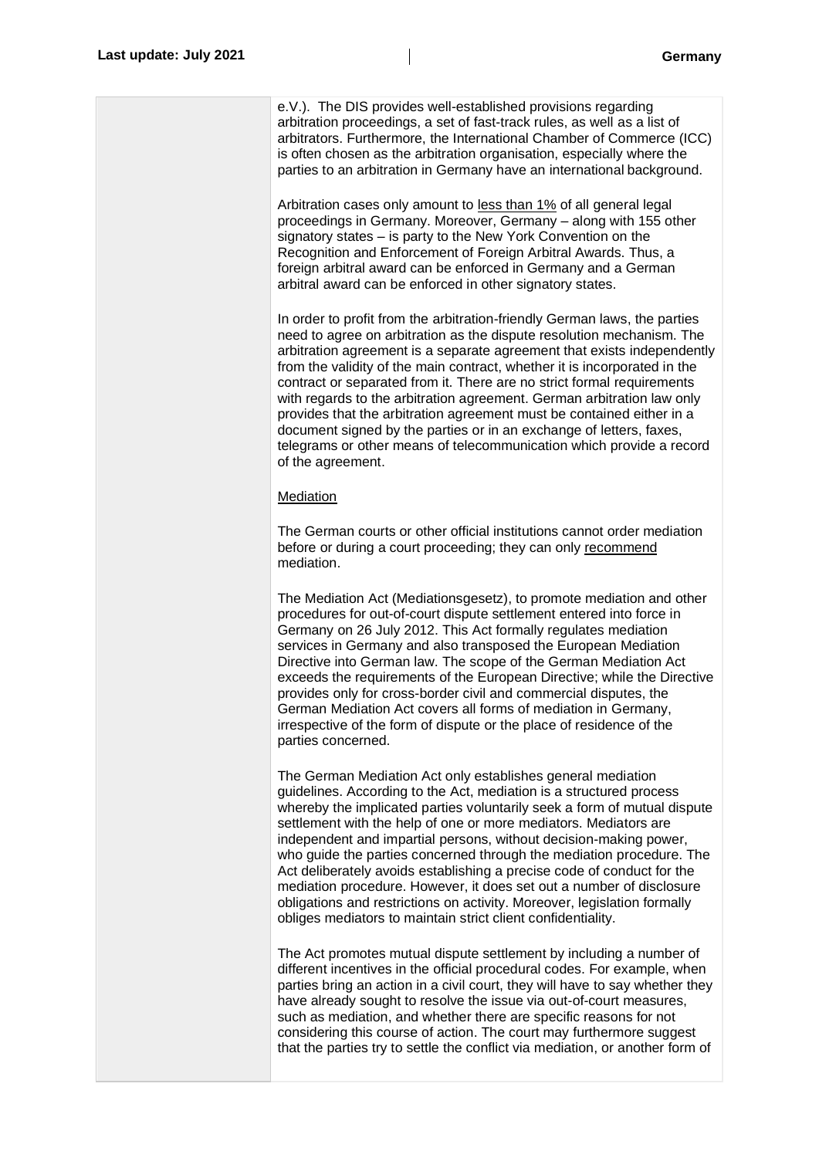| e.V.). The DIS provides well-established provisions regarding<br>arbitration proceedings, a set of fast-track rules, as well as a list of<br>arbitrators. Furthermore, the International Chamber of Commerce (ICC)<br>is often chosen as the arbitration organisation, especially where the<br>parties to an arbitration in Germany have an international background.                                                                                                                                                                                                                                                                                                                                                         |
|-------------------------------------------------------------------------------------------------------------------------------------------------------------------------------------------------------------------------------------------------------------------------------------------------------------------------------------------------------------------------------------------------------------------------------------------------------------------------------------------------------------------------------------------------------------------------------------------------------------------------------------------------------------------------------------------------------------------------------|
| Arbitration cases only amount to less than 1% of all general legal<br>proceedings in Germany. Moreover, Germany - along with 155 other<br>signatory states – is party to the New York Convention on the<br>Recognition and Enforcement of Foreign Arbitral Awards. Thus, a<br>foreign arbitral award can be enforced in Germany and a German<br>arbitral award can be enforced in other signatory states.                                                                                                                                                                                                                                                                                                                     |
| In order to profit from the arbitration-friendly German laws, the parties<br>need to agree on arbitration as the dispute resolution mechanism. The<br>arbitration agreement is a separate agreement that exists independently<br>from the validity of the main contract, whether it is incorporated in the<br>contract or separated from it. There are no strict formal requirements<br>with regards to the arbitration agreement. German arbitration law only<br>provides that the arbitration agreement must be contained either in a<br>document signed by the parties or in an exchange of letters, faxes,<br>telegrams or other means of telecommunication which provide a record<br>of the agreement.                   |
| <b>Mediation</b>                                                                                                                                                                                                                                                                                                                                                                                                                                                                                                                                                                                                                                                                                                              |
| The German courts or other official institutions cannot order mediation<br>before or during a court proceeding; they can only recommend<br>mediation.                                                                                                                                                                                                                                                                                                                                                                                                                                                                                                                                                                         |
| The Mediation Act (Mediationsgesetz), to promote mediation and other<br>procedures for out-of-court dispute settlement entered into force in<br>Germany on 26 July 2012. This Act formally regulates mediation<br>services in Germany and also transposed the European Mediation<br>Directive into German law. The scope of the German Mediation Act<br>exceeds the requirements of the European Directive; while the Directive<br>provides only for cross-border civil and commercial disputes, the<br>German Mediation Act covers all forms of mediation in Germany,<br>irrespective of the form of dispute or the place of residence of the<br>parties concerned.                                                          |
| The German Mediation Act only establishes general mediation<br>guidelines. According to the Act, mediation is a structured process<br>whereby the implicated parties voluntarily seek a form of mutual dispute<br>settlement with the help of one or more mediators. Mediators are<br>independent and impartial persons, without decision-making power,<br>who guide the parties concerned through the mediation procedure. The<br>Act deliberately avoids establishing a precise code of conduct for the<br>mediation procedure. However, it does set out a number of disclosure<br>obligations and restrictions on activity. Moreover, legislation formally<br>obliges mediators to maintain strict client confidentiality. |
| The Act promotes mutual dispute settlement by including a number of<br>different incentives in the official procedural codes. For example, when<br>parties bring an action in a civil court, they will have to say whether they<br>have already sought to resolve the issue via out-of-court measures,<br>such as mediation, and whether there are specific reasons for not<br>considering this course of action. The court may furthermore suggest<br>that the parties try to settle the conflict via mediation, or another form of                                                                                                                                                                                          |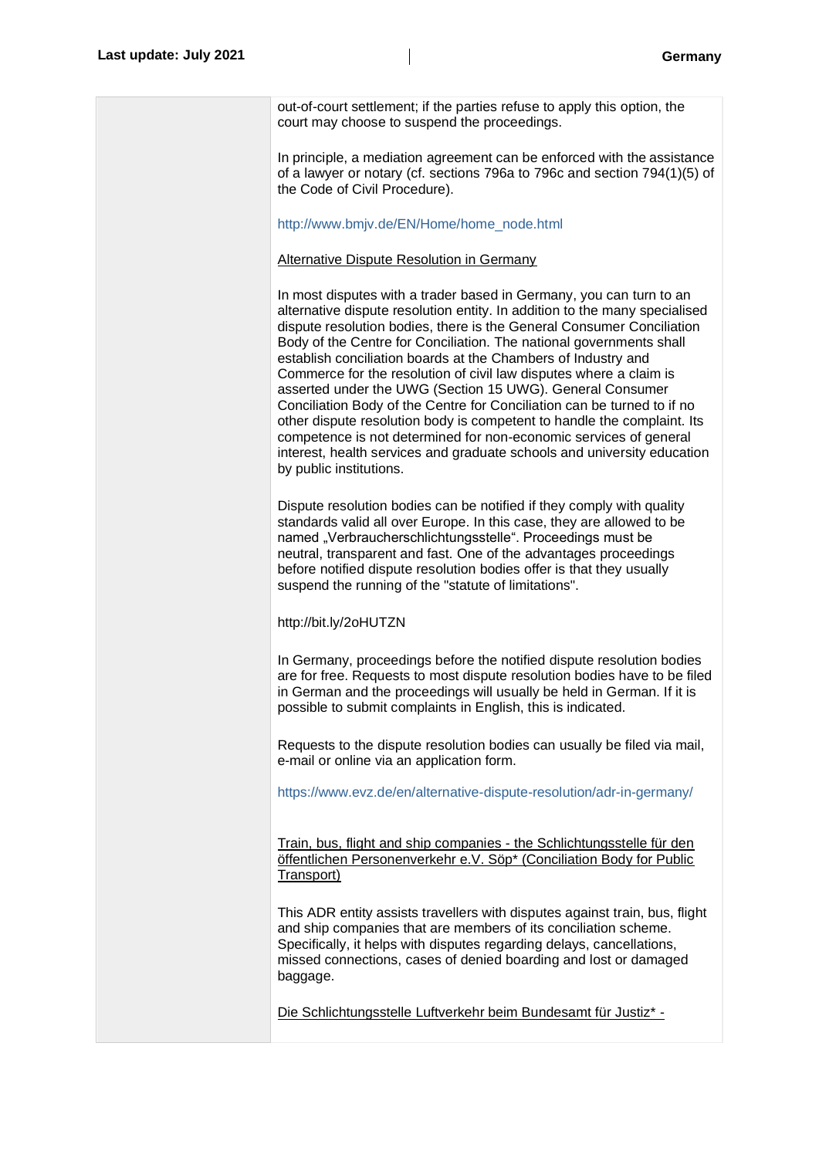| out-of-court settlement; if the parties refuse to apply this option, the<br>court may choose to suspend the proceedings.                                                                                                                                                                                                                                                                                                                                                                                                                                                                                                                                                                                                                                                                                                               |
|----------------------------------------------------------------------------------------------------------------------------------------------------------------------------------------------------------------------------------------------------------------------------------------------------------------------------------------------------------------------------------------------------------------------------------------------------------------------------------------------------------------------------------------------------------------------------------------------------------------------------------------------------------------------------------------------------------------------------------------------------------------------------------------------------------------------------------------|
| In principle, a mediation agreement can be enforced with the assistance<br>of a lawyer or notary (cf. sections 796a to 796c and section 794(1)(5) of<br>the Code of Civil Procedure).                                                                                                                                                                                                                                                                                                                                                                                                                                                                                                                                                                                                                                                  |
| http://www.bmjv.de/EN/Home/home_node.html                                                                                                                                                                                                                                                                                                                                                                                                                                                                                                                                                                                                                                                                                                                                                                                              |
| <b>Alternative Dispute Resolution in Germany</b>                                                                                                                                                                                                                                                                                                                                                                                                                                                                                                                                                                                                                                                                                                                                                                                       |
| In most disputes with a trader based in Germany, you can turn to an<br>alternative dispute resolution entity. In addition to the many specialised<br>dispute resolution bodies, there is the General Consumer Conciliation<br>Body of the Centre for Conciliation. The national governments shall<br>establish conciliation boards at the Chambers of Industry and<br>Commerce for the resolution of civil law disputes where a claim is<br>asserted under the UWG (Section 15 UWG). General Consumer<br>Conciliation Body of the Centre for Conciliation can be turned to if no<br>other dispute resolution body is competent to handle the complaint. Its<br>competence is not determined for non-economic services of general<br>interest, health services and graduate schools and university education<br>by public institutions. |
| Dispute resolution bodies can be notified if they comply with quality<br>standards valid all over Europe. In this case, they are allowed to be<br>named "Verbraucherschlichtungsstelle". Proceedings must be<br>neutral, transparent and fast. One of the advantages proceedings<br>before notified dispute resolution bodies offer is that they usually<br>suspend the running of the "statute of limitations".                                                                                                                                                                                                                                                                                                                                                                                                                       |
| http://bit.ly/2oHUTZN                                                                                                                                                                                                                                                                                                                                                                                                                                                                                                                                                                                                                                                                                                                                                                                                                  |
| In Germany, proceedings before the notified dispute resolution bodies<br>are for free. Requests to most dispute resolution bodies have to be filed<br>in German and the proceedings will usually be held in German. If it is<br>possible to submit complaints in English, this is indicated.                                                                                                                                                                                                                                                                                                                                                                                                                                                                                                                                           |
| Requests to the dispute resolution bodies can usually be filed via mail,<br>e-mail or online via an application form.                                                                                                                                                                                                                                                                                                                                                                                                                                                                                                                                                                                                                                                                                                                  |
| https://www.evz.de/en/alternative-dispute-resolution/adr-in-germany/                                                                                                                                                                                                                                                                                                                                                                                                                                                                                                                                                                                                                                                                                                                                                                   |
| Train, bus, flight and ship companies - the Schlichtungsstelle für den<br>öffentlichen Personenverkehr e.V. Söp* (Conciliation Body for Public<br>Transport)                                                                                                                                                                                                                                                                                                                                                                                                                                                                                                                                                                                                                                                                           |
| This ADR entity assists travellers with disputes against train, bus, flight<br>and ship companies that are members of its conciliation scheme.<br>Specifically, it helps with disputes regarding delays, cancellations,<br>missed connections, cases of denied boarding and lost or damaged<br>baggage.                                                                                                                                                                                                                                                                                                                                                                                                                                                                                                                                |
| Die Schlichtungsstelle Luftverkehr beim Bundesamt für Justiz* -                                                                                                                                                                                                                                                                                                                                                                                                                                                                                                                                                                                                                                                                                                                                                                        |